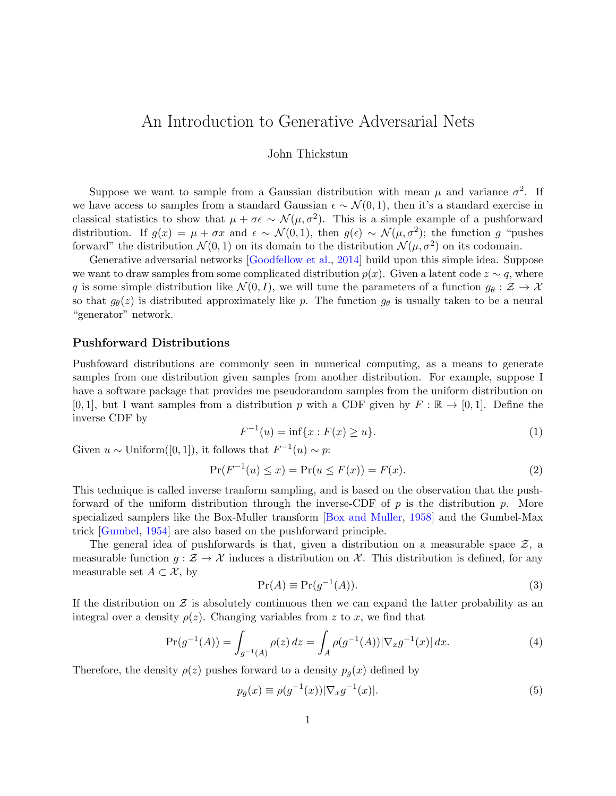# <span id="page-0-1"></span>An Introduction to Generative Adversarial Nets

### John Thickstun

Suppose we want to sample from a Gaussian distribution with mean  $\mu$  and variance  $\sigma^2$ . If we have access to samples from a standard Gaussian  $\epsilon \sim \mathcal{N}(0, 1)$ , then it's a standard exercise in classical statistics to show that  $\mu + \sigma \epsilon \sim \mathcal{N}(\mu, \sigma^2)$ . This is a simple example of a pushforward distribution. If  $g(x) = \mu + \sigma x$  and  $\epsilon \sim \mathcal{N}(0, 1)$ , then  $g(\epsilon) \sim \mathcal{N}(\mu, \sigma^2)$ ; the function g "pushes forward" the distribution  $\mathcal{N}(0,1)$  on its domain to the distribution  $\mathcal{N}(\mu,\sigma^2)$  on its codomain.

Generative adversarial networks [\[Goodfellow et al.,](#page-4-0) [2014\]](#page-4-0) build upon this simple idea. Suppose we want to draw samples from some complicated distribution  $p(x)$ . Given a latent code  $z \sim q$ , where q is some simple distribution like  $\mathcal{N}(0, I)$ , we will tune the parameters of a function  $g_{\theta}: \mathcal{Z} \to \mathcal{X}$ so that  $g_{\theta}(z)$  is distributed approximately like p. The function  $g_{\theta}$  is usually taken to be a neural "generator" network.

### Pushforward Distributions

Pushfoward distributions are commonly seen in numerical computing, as a means to generate samples from one distribution given samples from another distribution. For example, suppose I have a software package that provides me pseudorandom samples from the uniform distribution on  $[0, 1]$ , but I want samples from a distribution p with a CDF given by  $F : \mathbb{R} \to [0, 1]$ . Define the inverse CDF by

$$
F^{-1}(u) = \inf\{x : F(x) \ge u\}.
$$
 (1)

Given  $u \sim$  Uniform([0, 1]), it follows that  $F^{-1}(u) \sim p$ :

$$
\Pr(F^{-1}(u) \le x) = \Pr(u \le F(x)) = F(x). \tag{2}
$$

This technique is called inverse tranform sampling, and is based on the observation that the pushforward of the uniform distribution through the inverse-CDF of  $p$  is the distribution  $p$ . More specialized samplers like the Box-Muller transform [\[Box and Muller,](#page-4-1) [1958\]](#page-4-1) and the Gumbel-Max trick [\[Gumbel,](#page-4-2) [1954\]](#page-4-2) are also based on the pushforward principle.

The general idea of pushforwards is that, given a distribution on a measurable space  $\mathcal{Z}$ , a measurable function  $g : \mathcal{Z} \to \mathcal{X}$  induces a distribution on  $\mathcal{X}$ . This distribution is defined, for any measurable set  $A \subset \mathcal{X}$ , by

$$
\Pr(A) \equiv \Pr(g^{-1}(A)).\tag{3}
$$

If the distribution on  $\mathcal Z$  is absolutely continuous then we can expand the latter probability as an integral over a density  $\rho(z)$ . Changing variables from z to x, we find that

$$
\Pr(g^{-1}(A)) = \int_{g^{-1}(A)} \rho(z) \, dz = \int_A \rho(g^{-1}(A)) |\nabla_x g^{-1}(x)| \, dx. \tag{4}
$$

Therefore, the density  $\rho(z)$  pushes forward to a density  $p_g(x)$  defined by

<span id="page-0-0"></span>
$$
p_g(x) \equiv \rho(g^{-1}(x))|\nabla_x g^{-1}(x)|. \tag{5}
$$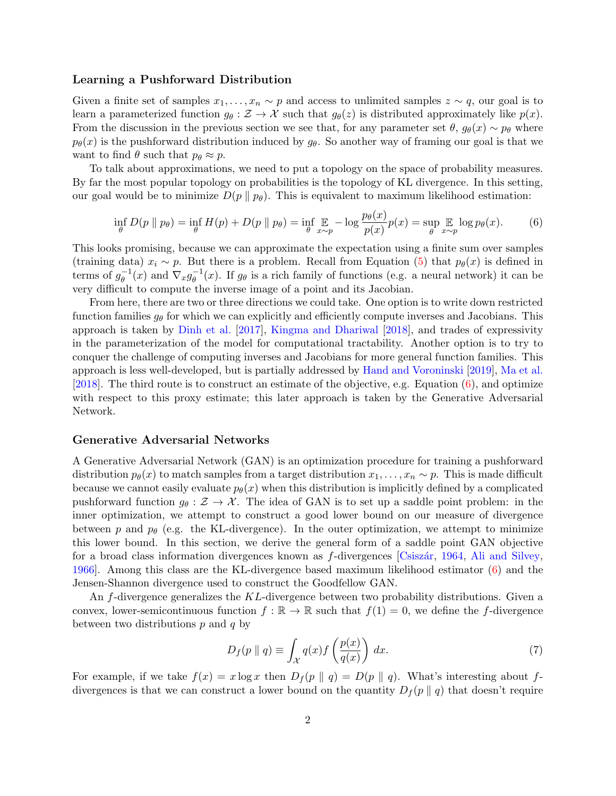#### Learning a Pushforward Distribution

Given a finite set of samples  $x_1, \ldots, x_n \sim p$  and access to unlimited samples  $z \sim q$ , our goal is to learn a parameterized function  $g_{\theta}: \mathcal{Z} \to \mathcal{X}$  such that  $g_{\theta}(z)$  is distributed approximately like  $p(x)$ . From the discussion in the previous section we see that, for any parameter set  $\theta$ ,  $g_{\theta}(x) \sim p_{\theta}$  where  $p_{\theta}(x)$  is the pushforward distribution induced by  $g_{\theta}$ . So another way of framing our goal is that we want to find  $\theta$  such that  $p_{\theta} \approx p$ .

To talk about approximations, we need to put a topology on the space of probability measures. By far the most popular topology on probabilities is the topology of KL divergence. In this setting, our goal would be to minimize  $D(p \parallel p_{\theta})$ . This is equivalent to maximum likelihood estimation:

<span id="page-1-0"></span>
$$
\inf_{\theta} D(p \| p_{\theta}) = \inf_{\theta} H(p) + D(p \| p_{\theta}) = \inf_{\theta} \mathop{\mathbb{E}}_{x \sim p} -\log \frac{p_{\theta}(x)}{p(x)} p(x) = \sup_{\theta} \mathop{\mathbb{E}}_{x \sim p} \log p_{\theta}(x). \tag{6}
$$

This looks promising, because we can approximate the expectation using a finite sum over samples (training data)  $x_i \sim p$ . But there is a problem. Recall from Equation [\(5\)](#page-0-0) that  $p_\theta(x)$  is defined in terms of  $g_{\theta}^{-1}$  $_{\theta}^{-1}(x)$  and  $\nabla_x g_{\theta}^{-1}$  $_{\theta}^{-1}(x)$ . If  $g_{\theta}$  is a rich family of functions (e.g. a neural network) it can be very difficult to compute the inverse image of a point and its Jacobian.

From here, there are two or three directions we could take. One option is to write down restricted function families  $g_{\theta}$  for which we can explicitly and efficiently compute inverses and Jacobians. This approach is taken by [Dinh et al.](#page-4-3) [\[2017\]](#page-4-3), [Kingma and Dhariwal](#page-4-4) [\[2018\]](#page-4-4), and trades of expressivity in the parameterization of the model for computational tractability. Another option is to try to conquer the challenge of computing inverses and Jacobians for more general function families. This approach is less well-developed, but is partially addressed by [Hand and Voroninski](#page-4-5) [\[2019\]](#page-4-5), [Ma et al.](#page-4-6) [\[2018\]](#page-4-6). The third route is to construct an estimate of the objective, e.g. Equation [\(6\)](#page-1-0), and optimize with respect to this proxy estimate; this later approach is taken by the Generative Adversarial Network.

#### Generative Adversarial Networks

A Generative Adversarial Network (GAN) is an optimization procedure for training a pushforward distribution  $p_{\theta}(x)$  to match samples from a target distribution  $x_1, \ldots, x_n \sim p$ . This is made difficult because we cannot easily evaluate  $p_{\theta}(x)$  when this distribution is implicitly defined by a complicated pushforward function  $g_{\theta}: \mathcal{Z} \to \mathcal{X}$ . The idea of GAN is to set up a saddle point problem: in the inner optimization, we attempt to construct a good lower bound on our measure of divergence between p and  $p_{\theta}$  (e.g. the KL-divergence). In the outer optimization, we attempt to minimize this lower bound. In this section, we derive the general form of a saddle point GAN objective for a broad class information divergences known as  $f$ -divergences [Csiszár, [1964,](#page-4-7) [Ali and Silvey,](#page-4-8) [1966\]](#page-4-8). Among this class are the KL-divergence based maximum likelihood estimator [\(6\)](#page-1-0) and the Jensen-Shannon divergence used to construct the Goodfellow GAN.

An f-divergence generalizes the KL-divergence between two probability distributions. Given a convex, lower-semicontinuous function  $f : \mathbb{R} \to \mathbb{R}$  such that  $f(1) = 0$ , we define the f-divergence between two distributions  $p$  and  $q$  by

$$
D_f(p \parallel q) \equiv \int_{\mathcal{X}} q(x) f\left(\frac{p(x)}{q(x)}\right) dx. \tag{7}
$$

For example, if we take  $f(x) = x \log x$  then  $D_f(p \parallel q) = D(p \parallel q)$ . What's interesting about fdivergences is that we can construct a lower bound on the quantity  $D_f(p \parallel q)$  that doesn't require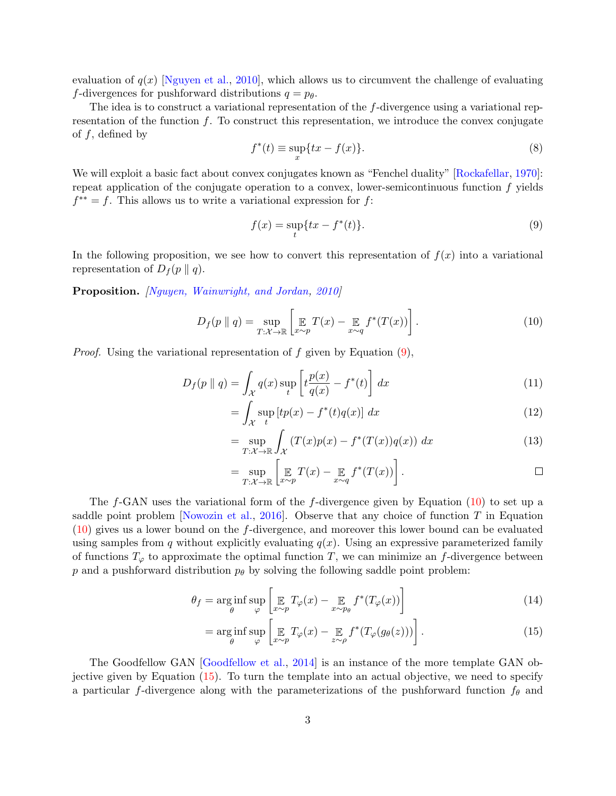evaluation of  $q(x)$  [\[Nguyen et al.,](#page-4-9) [2010\]](#page-4-9), which allows us to circumvent the challenge of evaluating f-divergences for pushforward distributions  $q = p_{\theta}$ .

The idea is to construct a variational representation of the f-divergence using a variational representation of the function  $f$ . To construct this representation, we introduce the convex conjugate of  $f$ , defined by

$$
f^*(t) \equiv \sup_x \{ tx - f(x) \}. \tag{8}
$$

We will exploit a basic fact about convex conjugates known as "Fenchel duality" [\[Rockafellar,](#page-4-10) [1970\]](#page-4-10): repeat application of the conjugate operation to a convex, lower-semicontinuous function  $f$  yields  $f^{**} = f$ . This allows us to write a variational expression for f:

<span id="page-2-0"></span>
$$
f(x) = \sup_{t} \{ tx - f^{*}(t) \}. \tag{9}
$$

In the following proposition, we see how to convert this representation of  $f(x)$  into a variational representation of  $D_f(p \parallel q)$ .

Proposition. [\[Nguyen, Wainwright, and Jordan,](#page-4-9) [2010\]](#page-4-9)

<span id="page-2-1"></span>
$$
D_f(p \parallel q) = \sup_{T:\mathcal{X}\to\mathbb{R}} \left[ \mathop{\mathbb{E}}_{x\sim p} T(x) - \mathop{\mathbb{E}}_{x\sim q} f^*(T(x)) \right]. \tag{10}
$$

*Proof.* Using the variational representation of f given by Equation  $(9)$ ,

$$
D_f(p \parallel q) = \int_{\mathcal{X}} q(x) \sup_t \left[ t \frac{p(x)}{q(x)} - f^*(t) \right] dx \tag{11}
$$

$$
= \int_{\mathcal{X}} \sup_{t} \left[ tp(x) - f^*(t)q(x) \right] dx \tag{12}
$$

$$
= \sup_{T:\mathcal{X}\to\mathbb{R}} \int_{\mathcal{X}} \left( T(x)p(x) - f^*(T(x))q(x) \right) dx \tag{13}
$$

$$
= \sup_{T:\mathcal{X}\to\mathbb{R}} \left[ \mathop{\mathbb{E}}_{x\sim p} T(x) - \mathop{\mathbb{E}}_{x\sim q} f^*(T(x)) \right].
$$

The  $f$ -GAN uses the variational form of the  $f$ -divergence given by Equation [\(10\)](#page-2-1) to set up a saddle point problem [\[Nowozin et al.,](#page-4-11) [2016\]](#page-4-11). Observe that any choice of function  $T$  in Equation [\(10\)](#page-2-1) gives us a lower bound on the f-divergence, and moreover this lower bound can be evaluated using samples from q without explicitly evaluating  $q(x)$ . Using an expressive parameterized family of functions  $T_{\varphi}$  to approximate the optimal function T, we can minimize an f-divergence between p and a pushforward distribution  $p_{\theta}$  by solving the following saddle point problem:

$$
\theta_f = \underset{\theta}{\arg\inf} \sup_{\varphi} \left[ \mathop{\mathbb{E}}_{x \sim p} T_{\varphi}(x) - \mathop{\mathbb{E}}_{x \sim p_{\theta}} f^*(T_{\varphi}(x)) \right]
$$
(14)

<span id="page-2-2"></span>
$$
= \underset{\theta}{\arg\inf} \underset{\varphi}{\sup} \left[ \underset{x \sim p}{\mathbb{E}} T_{\varphi}(x) - \underset{z \sim \rho}{\mathbb{E}} f^*(T_{\varphi}(g_{\theta}(z))) \right]. \tag{15}
$$

The Goodfellow GAN [\[Goodfellow et al.,](#page-4-0) [2014\]](#page-4-0) is an instance of the more template GAN objective given by Equation [\(15\)](#page-2-2). To turn the template into an actual objective, we need to specify a particular f-divergence along with the parameterizations of the pushforward function  $f_{\theta}$  and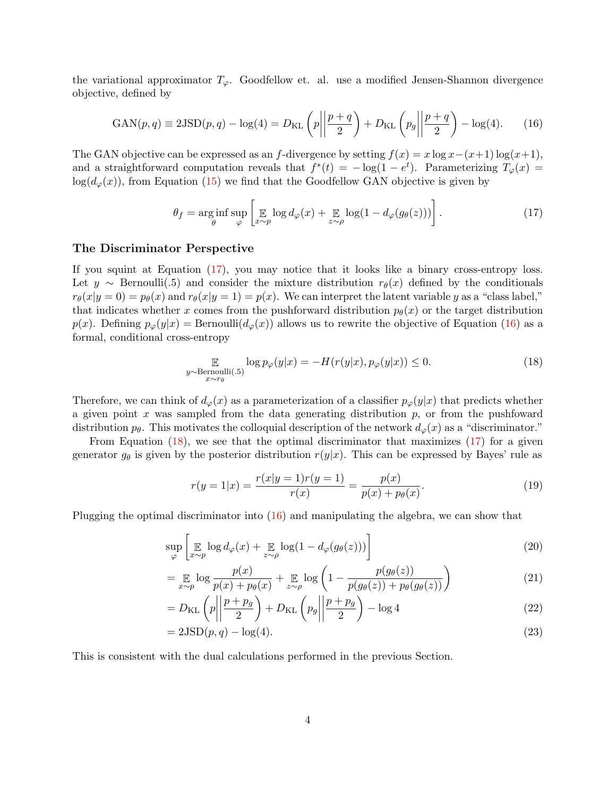the variational approximator  $T_{\varphi}$ . Goodfellow et. al. use a modified Jensen-Shannon divergence objective, defined by

<span id="page-3-1"></span>
$$
GAN(p,q) \equiv 2JSD(p,q) - log(4) = D_{KL}\left(p \left\| \frac{p+q}{2}\right) + D_{KL}\left(p_g \left\| \frac{p+q}{2}\right) - log(4)\right.\right)
$$
 (16)

The GAN objective can be expressed as an f-divergence by setting  $f(x) = x \log x - (x+1) \log(x+1)$ , and a straightforward computation reveals that  $f^*(t) = -\log(1 - e^t)$ . Parameterizing  $T_{\varphi}(x) =$  $log(d_{\varphi}(x))$ , from Equation [\(15\)](#page-2-2) we find that the Goodfellow GAN objective is given by

<span id="page-3-0"></span>
$$
\theta_f = \underset{\theta}{\arg\inf} \sup_{\varphi} \left[ \mathop{\mathbb{E}}_{x \sim p} \log d_{\varphi}(x) + \mathop{\mathbb{E}}_{z \sim \rho} \log (1 - d_{\varphi}(g_{\theta}(z))) \right]. \tag{17}
$$

#### The Discriminator Perspective

If you squint at Equation [\(17\)](#page-3-0), you may notice that it looks like a binary cross-entropy loss. Let  $y \sim$  Bernoulli(.5) and consider the mixture distribution  $r_{\theta}(x)$  defined by the conditionals  $r_{\theta}(x|y=0) = p_{\theta}(x)$  and  $r_{\theta}(x|y=1) = p(x)$ . We can interpret the latent variable y as a "class label," that indicates whether x comes from the pushforward distribution  $p_{\theta}(x)$  or the target distribution  $p(x)$ . Defining  $p_{\varphi}(y|x) = \text{Bernoulli}(d_{\varphi}(x))$  allows us to rewrite the objective of Equation [\(16\)](#page-3-1) as a formal, conditional cross-entropy

<span id="page-3-2"></span>
$$
\mathbb{E}_{\substack{y \sim \text{Bernoulli}(.5) \\ x \sim r_{\theta}}} \log p_{\varphi}(y|x) = -H(r(y|x), p_{\varphi}(y|x)) \le 0. \tag{18}
$$

Therefore, we can think of  $d_{\varphi}(x)$  as a parameterization of a classifier  $p_{\varphi}(y|x)$  that predicts whether a given point x was sampled from the data generating distribution  $p$ , or from the pushfoward distribution  $p_{\theta}$ . This motivates the colloquial description of the network  $d_{\varphi}(x)$  as a "discriminator."

From Equation  $(18)$ , we see that the optimal discriminator that maximizes  $(17)$  for a given generator  $g_{\theta}$  is given by the posterior distribution  $r(y|x)$ . This can be expressed by Bayes' rule as

$$
r(y=1|x) = \frac{r(x|y=1)r(y=1)}{r(x)} = \frac{p(x)}{p(x) + p_{\theta}(x)}.
$$
\n(19)

Plugging the optimal discriminator into  $(16)$  and manipulating the algebra, we can show that

$$
\sup_{\varphi} \left[ \mathop{\mathbb{E}}_{x \sim p} \log d_{\varphi}(x) + \mathop{\mathbb{E}}_{z \sim \rho} \log(1 - d_{\varphi}(g_{\theta}(z))) \right]
$$
 (20)

$$
= \mathop{\mathbb{E}}_{x \sim p} \log \frac{p(x)}{p(x) + p_{\theta}(x)} + \mathop{\mathbb{E}}_{z \sim \rho} \log \left( 1 - \frac{p(g_{\theta}(z))}{p(g_{\theta}(z)) + p_{\theta}(g_{\theta}(z))} \right) \tag{21}
$$

$$
=D_{\text{KL}}\left(p \left|\left|\frac{p+p_g}{2}\right.\right| + D_{\text{KL}}\left(p_g \left|\left|\frac{p+p_g}{2}\right.\right| - \log 4\right) \right)
$$
\n(22)

$$
=2JSD(p,q) - log(4). \tag{23}
$$

This is consistent with the dual calculations performed in the previous Section.